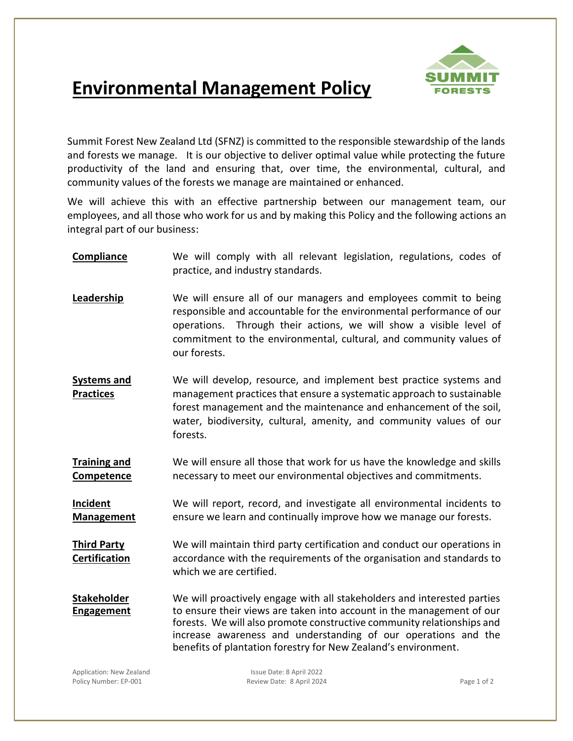

## **Environmental Management Policy**

Summit Forest New Zealand Ltd (SFNZ) is committed to the responsible stewardship of the lands and forests we manage. It is our objective to deliver optimal value while protecting the future productivity of the land and ensuring that, over time, the environmental, cultural, and community values of the forests we manage are maintained or enhanced.

We will achieve this with an effective partnership between our management team, our employees, and all those who work for us and by making this Policy and the following actions an integral part of our business:

- **Compliance** We will comply with all relevant legislation, regulations, codes of practice, and industry standards.
- **Leadership** We will ensure all of our managers and employees commit to being responsible and accountable for the environmental performance of our operations. Through their actions, we will show a visible level of commitment to the environmental, cultural, and community values of our forests.
- **Systems and Practices** We will develop, resource, and implement best practice systems and management practices that ensure a systematic approach to sustainable forest management and the maintenance and enhancement of the soil, water, biodiversity, cultural, amenity, and community values of our forests.
- **Training and Competence** We will ensure all those that work for us have the knowledge and skills necessary to meet our environmental objectives and commitments.

**Incident Management** We will report, record, and investigate all environmental incidents to ensure we learn and continually improve how we manage our forests.

**Third Party Certification** We will maintain third party certification and conduct our operations in accordance with the requirements of the organisation and standards to which we are certified.

**Stakeholder Engagement** We will proactively engage with all stakeholders and interested parties to ensure their views are taken into account in the management of our forests. We will also promote constructive community relationships and increase awareness and understanding of our operations and the benefits of plantation forestry for New Zealand's environment.

Application: New Zealand Issue Date: 8 April 2022 Policy Number: EP-001 **Policy Access 2018** Review Date: 8 April 2024 **Page 1 of 2** Page 1 of 2